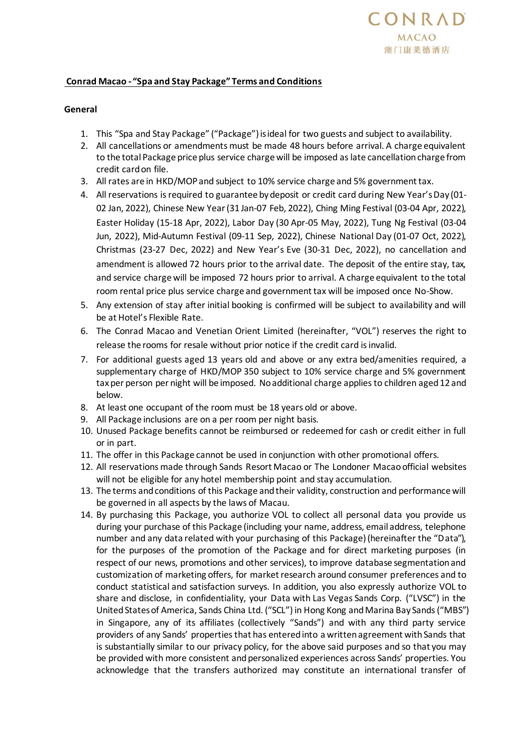## **Conrad Macao - "Spa and Stay Package" Terms and Conditions**

## **General**

- 1. This "Spa and Stay Package" ("Package") is ideal for two guests and subject to availability.
- 2. All cancellations or amendments must be made 48 hours before arrival. A charge equivalent to the total Package price plus service charge will be imposed as late cancellation charge from credit card on file.
- 3. All rates are in HKD/MOP and subject to 10% service charge and 5% government tax.
- 4. All reservations is required to guarantee by deposit or credit card during New Year's Day (01- 02 Jan, 2022), Chinese New Year (31 Jan-07 Feb, 2022), Ching Ming Festival (03-04 Apr, 2022), Easter Holiday (15-18 Apr, 2022), Labor Day (30 Apr-05 May, 2022), Tung Ng Festival (03-04 Jun, 2022), Mid-Autumn Festival (09-11 Sep, 2022), Chinese National Day (01-07 Oct, 2022), Christmas (23-27 Dec, 2022) and New Year's Eve (30-31 Dec, 2022), no cancellation and amendment is allowed 72 hours prior to the arrival date. The deposit of the entire stay, tax, and service charge will be imposed 72 hours prior to arrival. A charge equivalent to the total room rental price plus service charge and government tax will be imposed once No-Show.
- 5. Any extension of stay after initial booking is confirmed will be subject to availability and will be at Hotel's Flexible Rate.
- 6. The Conrad Macao and Venetian Orient Limited (hereinafter, "VOL") reserves the right to release the rooms for resale without prior notice if the credit card is invalid.
- 7. For additional guests aged 13 years old and above or any extra bed/amenities required, a supplementary charge of HKD/MOP 350 subject to 10% service charge and 5% government tax per person per night will be imposed. No additional charge applies to children aged 12 and below.
- 8. At least one occupant of the room must be 18 years old or above.
- 9. All Package inclusions are on a per room per night basis.
- 10. Unused Package benefits cannot be reimbursed or redeemed for cash or credit either in full or in part.
- 11. The offer in this Package cannot be used in conjunction with other promotional offers.
- 12. All reservations made through Sands Resort Macao or The Londoner Macao official websites will not be eligible for any hotel membership point and stay accumulation.
- 13. The terms and conditions of this Package and their validity, construction and performance will be governed in all aspects by the laws of Macau.
- 14. By purchasing this Package, you authorize VOL to collect all personal data you provide us during your purchase of this Package (including your name, address, email address, telephone number and any data related with your purchasing of this Package) (hereinafter the "Data"), for the purposes of the promotion of the Package and for direct marketing purposes (in respect of our news, promotions and other services), to improve database segmentation and customization of marketing offers, for market research around consumer preferences and to conduct statistical and satisfaction surveys. In addition, you also expressly authorize VOL to share and disclose, in confidentiality, your Data with Las Vegas Sands Corp. ("LVSC") in the United States of America, Sands China Ltd. ("SCL") in Hong Kong and Marina Bay Sands ("MBS") in Singapore, any of its affiliates (collectively "Sands") and with any third party service providers of any Sands' properties that has entered into a written agreement with Sands that is substantially similar to our privacy policy, for the above said purposes and so that you may be provided with more consistent and personalized experiences across Sands' properties. You acknowledge that the transfers authorized may constitute an international transfer of